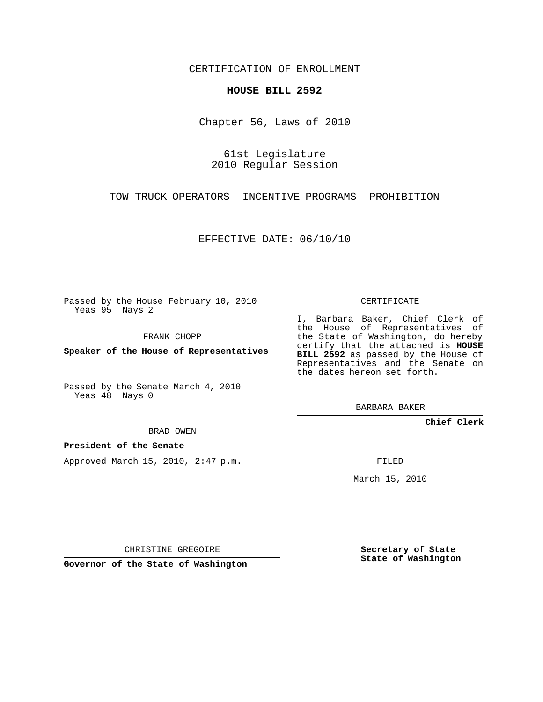CERTIFICATION OF ENROLLMENT

## **HOUSE BILL 2592**

Chapter 56, Laws of 2010

61st Legislature 2010 Regular Session

TOW TRUCK OPERATORS--INCENTIVE PROGRAMS--PROHIBITION

EFFECTIVE DATE: 06/10/10

Passed by the House February 10, 2010 Yeas 95 Nays 2

FRANK CHOPP

**Speaker of the House of Representatives**

Passed by the Senate March 4, 2010 Yeas 48 Nays 0

BRAD OWEN

## **President of the Senate**

Approved March 15, 2010, 2:47 p.m.

CERTIFICATE

I, Barbara Baker, Chief Clerk of the House of Representatives of the State of Washington, do hereby certify that the attached is **HOUSE BILL 2592** as passed by the House of Representatives and the Senate on the dates hereon set forth.

BARBARA BAKER

**Chief Clerk**

FILED

March 15, 2010

CHRISTINE GREGOIRE

**Governor of the State of Washington**

**Secretary of State State of Washington**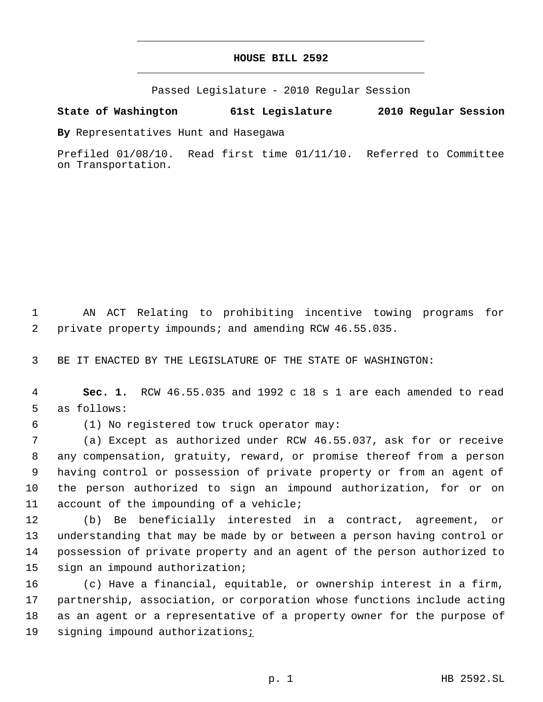## **HOUSE BILL 2592** \_\_\_\_\_\_\_\_\_\_\_\_\_\_\_\_\_\_\_\_\_\_\_\_\_\_\_\_\_\_\_\_\_\_\_\_\_\_\_\_\_\_\_\_\_

\_\_\_\_\_\_\_\_\_\_\_\_\_\_\_\_\_\_\_\_\_\_\_\_\_\_\_\_\_\_\_\_\_\_\_\_\_\_\_\_\_\_\_\_\_

Passed Legislature - 2010 Regular Session

## **State of Washington 61st Legislature 2010 Regular Session**

**By** Representatives Hunt and Hasegawa

Prefiled 01/08/10. Read first time 01/11/10. Referred to Committee on Transportation.

 AN ACT Relating to prohibiting incentive towing programs for private property impounds; and amending RCW 46.55.035.

BE IT ENACTED BY THE LEGISLATURE OF THE STATE OF WASHINGTON:

 **Sec. 1.** RCW 46.55.035 and 1992 c 18 s 1 are each amended to read as follows:

(1) No registered tow truck operator may:

 (a) Except as authorized under RCW 46.55.037, ask for or receive any compensation, gratuity, reward, or promise thereof from a person having control or possession of private property or from an agent of the person authorized to sign an impound authorization, for or on 11 account of the impounding of a vehicle;

 (b) Be beneficially interested in a contract, agreement, or understanding that may be made by or between a person having control or possession of private property and an agent of the person authorized to sign an impound authorization;

 (c) Have a financial, equitable, or ownership interest in a firm, partnership, association, or corporation whose functions include acting as an agent or a representative of a property owner for the purpose of 19 signing impound authorizations<sub>i</sub>